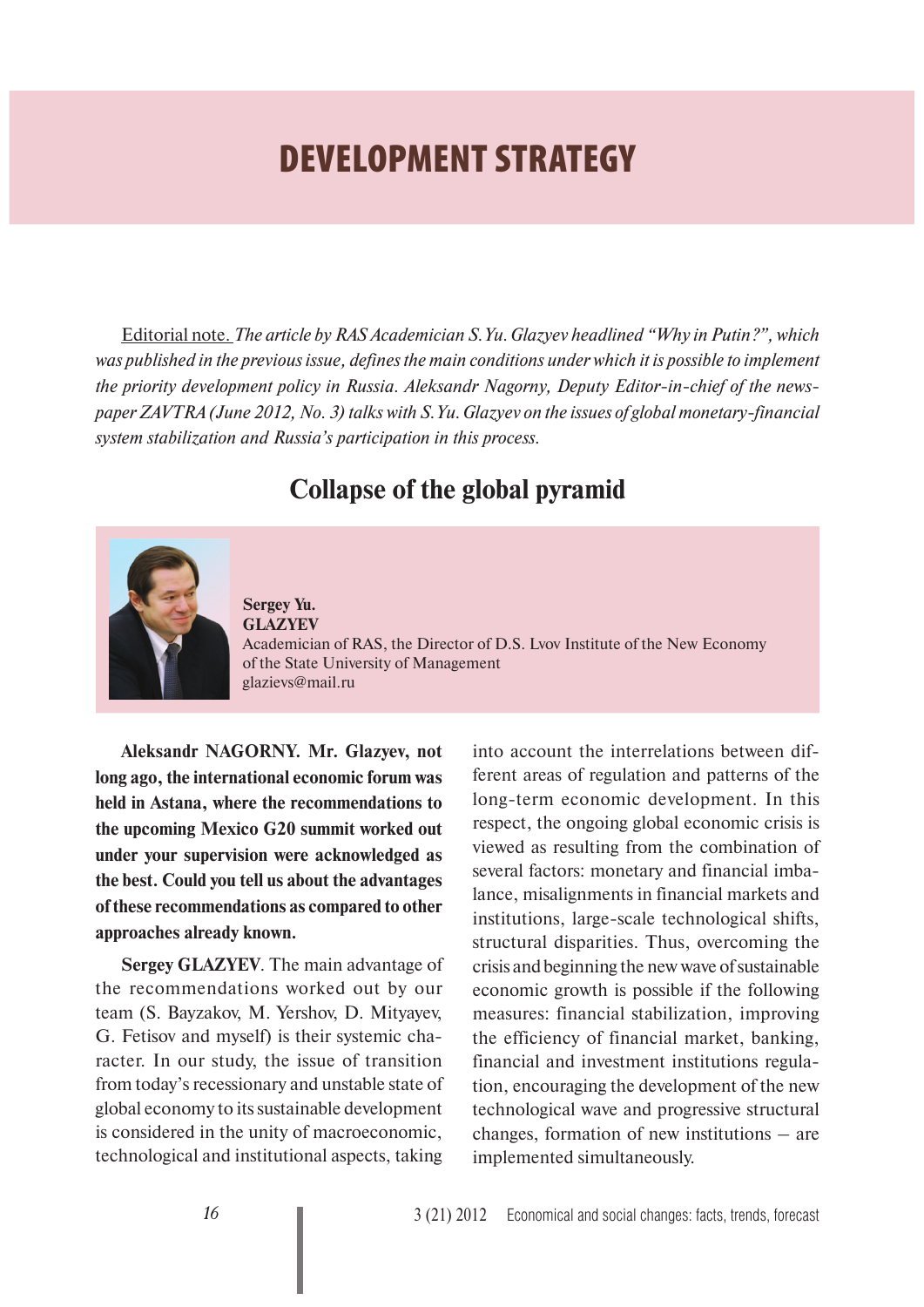# **DEVELOPMENT STRATEGY**

Editorial note. *The article by RAS Academician S.Yu. Glazyev headlined "Why in Putin?", which was published in the previous issue, defines the main conditions under which it is possible to implement the priority development policy in Russia. Aleksandr Nagorny, Deputy Editor-in-chief of the newspaper ZAVTRA (June 2012, No. 3) talks with S.Yu. Glazyev on the issues of global monetary-financial system stabilization and Russia's participation in this process.* 

## **Collapse of the global pyramid**



**Sergey Yu. GLAZYEV** Academician of RAS, the Director of D.S. Lvov Institute of the New Economy of the State University of Management glazievs@mail.ru

**Aleksandr NAGORNY. Mr. Glazyev, not long ago, the international economic forum was held in Astana, where the recommendations to the upcoming Mexico G20 summit worked out under your supervision were acknowledged as the best. Could you tell us about the advantages of these recommendations as compared to other approaches already known.**

**Sergey GLAZYEV**. The main advantage of the recommendations worked out by our team (S. Bayzakov, M. Yershov, D. Mityayev, G. Fetisov and myself) is their systemic character. In our study, the issue of transition from today's recessionary and unstable state of global economy to its sustainable development is considered in the unity of macroeconomic, technological and institutional aspects, taking

into account the interrelations between different areas of regulation and patterns of the long-term economic development. In this respect, the ongoing global economic crisis is viewed as resulting from the combination of several factors: monetary and financial imbalance, misalignments in financial markets and institutions, large-scale technological shifts, structural disparities. Thus, overcoming the crisis and beginning the new wave of sustainable economic growth is possible if the following measures: financial stabilization, improving the efficiency of financial market, banking, financial and investment institutions regulation, encouraging the development of the new technological wave and progressive structural changes, formation of new institutions – are implemented simultaneously.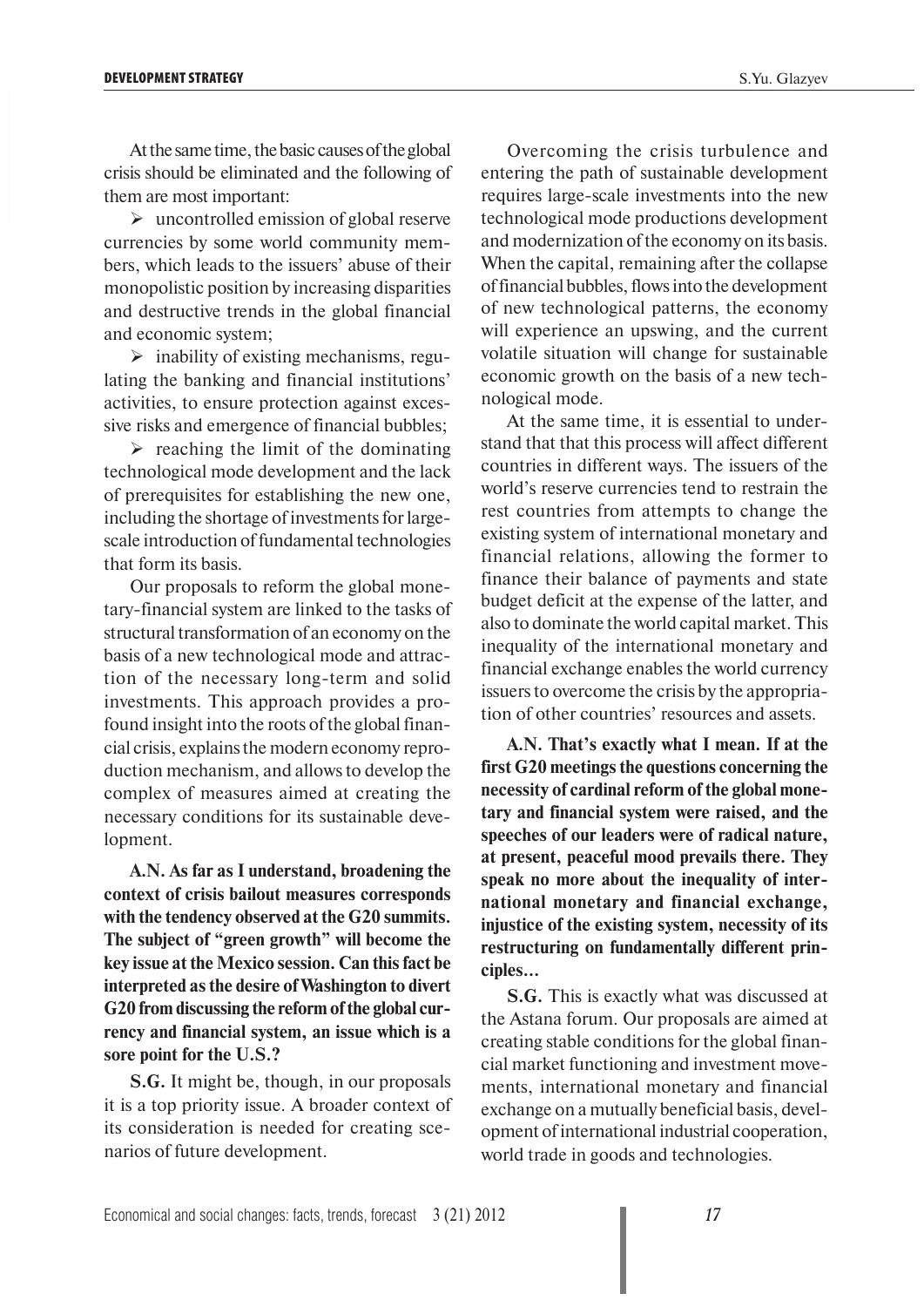At the same time, the basic causes of the global crisis should be eliminated and the following of them are most important:

 $\triangleright$  uncontrolled emission of global reserve currencies by some world community members, which leads to the issuers' abuse of their monopolistic position by increasing disparities and destructive trends in the global financial and economic system;

 $\triangleright$  inability of existing mechanisms, regulating the banking and financial institutions' activities, to ensure protection against excessive risks and emergence of financial bubbles;

 $\triangleright$  reaching the limit of the dominating technological mode development and the lack of prerequisites for establishing the new one, including the shortage of investments for largescale introduction of fundamental technologies that form its basis.

Our proposals to reform the global monetary-financial system are linked to the tasks of structural transformation of an economy on the basis of a new technological mode and attraction of the necessary long-term and solid investments. This approach provides a profound insight into the roots of the global financial crisis, explains the modern economy reproduction mechanism, and allows to develop the complex of measures aimed at creating the necessary conditions for its sustainable development.

**A.N. As far as I understand, broadening the context of crisis bailout measures corresponds with the tendency observed at the G20 summits. The subject of "green growth" will become the key issue at the Mexico session. Can this fact be interpreted as the desire of Washington to divert G20 from discussing the reform of the global currency and financial system, an issue which is a sore point for the U.S.?**

**S.G.** It might be, though, in our proposals it is a top priority issue. A broader context of its consideration is needed for creating scenarios of future development.

Overcoming the crisis turbulence and entering the path of sustainable development requires large-scale investments into the new technological mode productions development and modernization of the economy on its basis. When the capital, remaining after the collapse of financial bubbles, flows into the development of new technological patterns, the economy will experience an upswing, and the current volatile situation will change for sustainable economic growth on the basis of a new technological mode.

At the same time, it is essential to understand that that this process will affect different countries in different ways. The issuers of the world's reserve currencies tend to restrain the rest countries from attempts to change the existing system of international monetary and financial relations, allowing the former to finance their balance of payments and state budget deficit at the expense of the latter, and also to dominate the world capital market. This inequality of the international monetary and financial exchange enables the world currency issuers to overcome the crisis by the appropriation of other countries' resources and assets.

**A.N. That's exactly what I mean. If at the first G20 meetings the questions concerning the necessity of cardinal reform of the global monetary and financial system were raised, and the speeches of our leaders were of radical nature, at present, peaceful mood prevails there. They speak no more about the inequality of international monetary and financial exchange, injustice of the existing system, necessity of its restructuring on fundamentally different principles…**

**S.G.** This is exactly what was discussed at the Astana forum. Our proposals are aimed at creating stable conditions for the global financial market functioning and investment movements, international monetary and financial exchange on a mutually beneficial basis, development of international industrial cooperation, world trade in goods and technologies.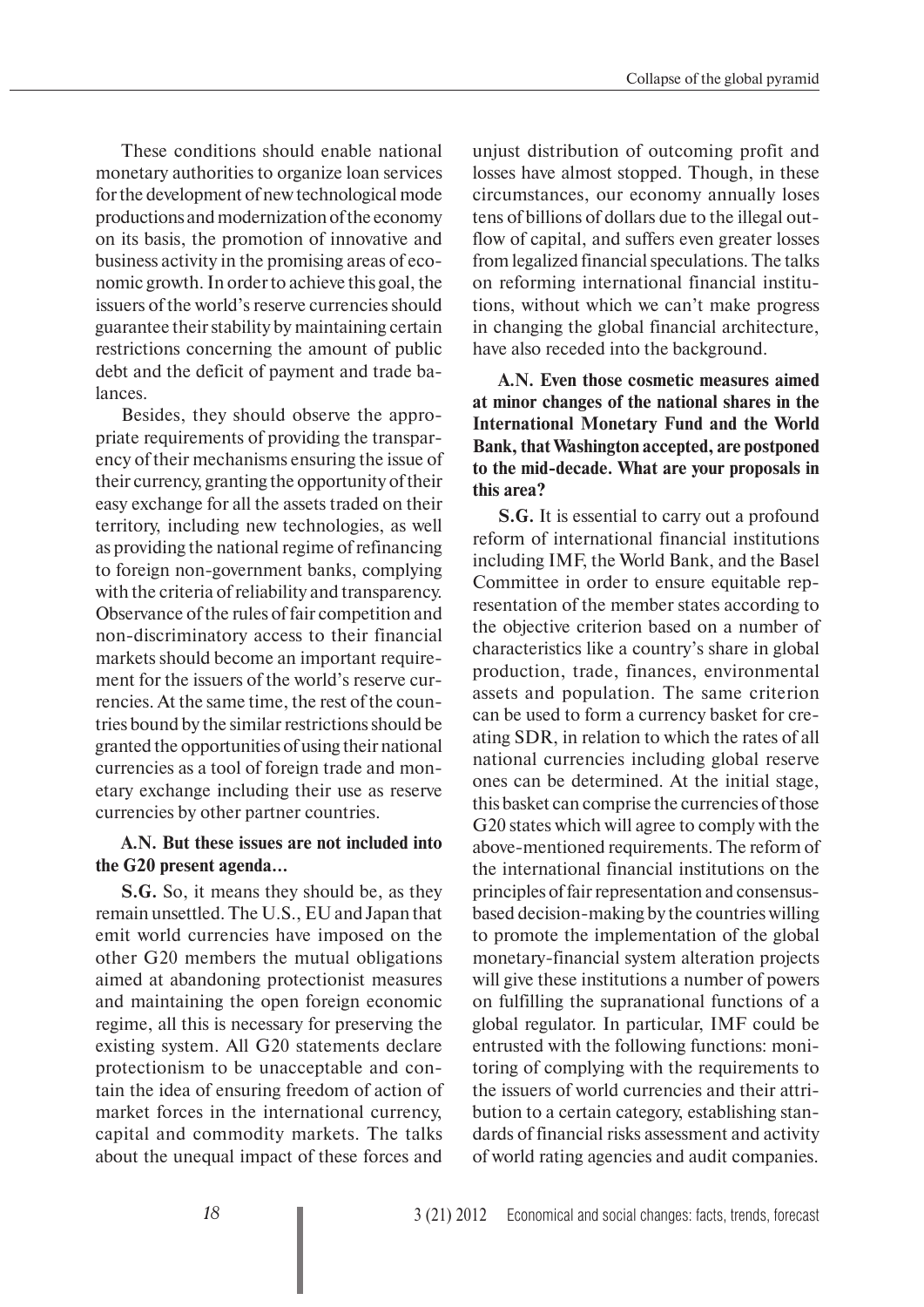These conditions should enable national monetary authorities to organize loan services for the development of new technological mode productions and modernization of the economy on its basis, the promotion of innovative and business activity in the promising areas of economic growth. In order to achieve this goal, the issuers of the world's reserve currencies should guarantee their stability by maintaining certain restrictions concerning the amount of public debt and the deficit of payment and trade balances.

Besides, they should observe the appropriate requirements of providing the transparency of their mechanisms ensuring the issue of their currency, granting the opportunity of their easy exchange for all the assets traded on their territory, including new technologies, as well as providing the national regime of refinancing to foreign non-government banks, complying with the criteria of reliability and transparency. Observance of the rules of fair competition and non-discriminatory access to their financial markets should become an important requirement for the issuers of the world's reserve currencies. At the same time, the rest of the countries bound by the similar restrictions should be granted the opportunities of using their national currencies as a tool of foreign trade and monetary exchange including their use as reserve currencies by other partner countries.

#### **A.N. But these issues are not included into the G20 present agenda…**

**S.G.** So, it means they should be, as they remain unsettled. The U.S., EU and Japan that emit world currencies have imposed on the other G20 members the mutual obligations aimed at abandoning protectionist measures and maintaining the open foreign economic regime, all this is necessary for preserving the existing system. All G20 statements declare protectionism to be unacceptable and contain the idea of ensuring freedom of action of market forces in the international currency, capital and commodity markets. The talks about the unequal impact of these forces and

unjust distribution of outcoming profit and losses have almost stopped. Though, in these circumstances, our economy annually loses tens of billions of dollars due to the illegal outflow of capital, and suffers even greater losses from legalized financial speculations. The talks on reforming international financial institutions, without which we can't make progress in changing the global financial architecture, have also receded into the background.

#### **A.N. Even those cosmetic measures aimed at minor changes of the national shares in the International Monetary Fund and the World Bank, that Washington accepted, are postponed to the mid-decade. What are your proposals in this area?**

**S.G.** It is essential to carry out a profound reform of international financial institutions including IMF, the World Bank, and the Basel Committee in order to ensure equitable representation of the member states according to the objective criterion based on a number of characteristics like a country's share in global production, trade, finances, environmental assets and population. The same criterion can be used to form a currency basket for creating SDR, in relation to which the rates of all national currencies including global reserve ones can be determined. At the initial stage, this basket can comprise the currencies of those G20 states which will agree to comply with the above-mentioned requirements. The reform of the international financial institutions on the principles of fair representation and consensusbased decision-making by the countries willing to promote the implementation of the global monetary-financial system alteration projects will give these institutions a number of powers on fulfilling the supranational functions of a global regulator. In particular, IMF could be entrusted with the following functions: monitoring of complying with the requirements to the issuers of world currencies and their attribution to a certain category, establishing standards of financial risks assessment and activity of world rating agencies and audit companies.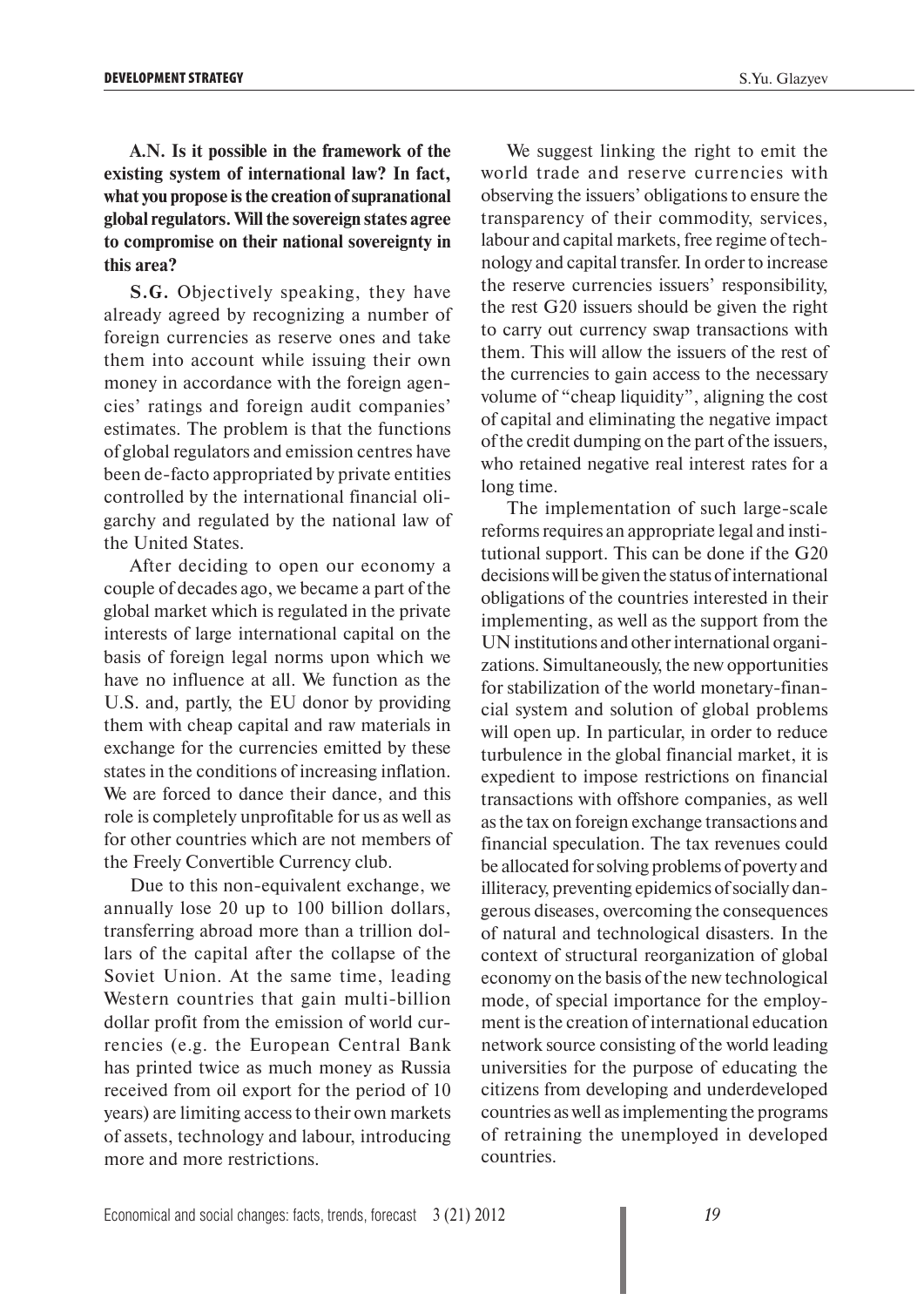**A.N. Is it possible in the framework of the existing system of international law? In fact, what you propose is the creation of supranational global regulators. Will the sovereign states agree to compromise on their national sovereignty in this area?**

**S.G.** Objectively speaking, they have already agreed by recognizing a number of foreign currencies as reserve ones and take them into account while issuing their own money in accordance with the foreign agencies' ratings and foreign audit companies' estimates. The problem is that the functions of global regulators and emission centres have been de-facto appropriated by private entities controlled by the international financial oligarchy and regulated by the national law of the United States.

After deciding to open our economy a couple of decades ago, we became a part of the global market which is regulated in the private interests of large international capital on the basis of foreign legal norms upon which we have no influence at all. We function as the U.S. and, partly, the EU donor by providing them with cheap capital and raw materials in exchange for the currencies emitted by these states in the conditions of increasing inflation. We are forced to dance their dance, and this role is completely unprofitable for us as well as for other countries which are not members of the Freely Convertible Currency club.

Due to this non-equivalent exchange, we annually lose 20 up to 100 billion dollars, transferring abroad more than a trillion dollars of the capital after the collapse of the Soviet Union. At the same time, leading Western countries that gain multi-billion dollar profit from the emission of world currencies (e.g. the European Central Bank has printed twice as much money as Russia received from oil export for the period of 10 years) are limiting access to their own markets of assets, technology and labour, introducing more and more restrictions.

We suggest linking the right to emit the world trade and reserve currencies with observing the issuers' obligations to ensure the transparency of their commodity, services, labour and capital markets, free regime of technology and capital transfer. In order to increase the reserve currencies issuers' responsibility, the rest G20 issuers should be given the right to carry out currency swap transactions with them. This will allow the issuers of the rest of the currencies to gain access to the necessary volume of "cheap liquidity", aligning the cost of capital and eliminating the negative impact of the credit dumping on the part of the issuers, who retained negative real interest rates for a long time.

The implementation of such large-scale reforms requires an appropriate legal and institutional support. This can be done if the G20 decisions will be given the status of international obligations of the countries interested in their implementing, as well as the support from the UN institutions and other international organizations. Simultaneously, the new opportunities for stabilization of the world monetary-financial system and solution of global problems will open up. In particular, in order to reduce turbulence in the global financial market, it is expedient to impose restrictions on financial transactions with offshore companies, as well as the tax on foreign exchange transactions and financial speculation. The tax revenues could be allocated for solving problems of poverty and illiteracy, preventing epidemics of socially dangerous diseases, overcoming the consequences of natural and technological disasters. In the context of structural reorganization of global economy on the basis of the new technological mode, of special importance for the employment is the creation of international education network source consisting of the world leading universities for the purpose of educating the citizens from developing and underdeveloped countries as well as implementing the programs of retraining the unemployed in developed countries.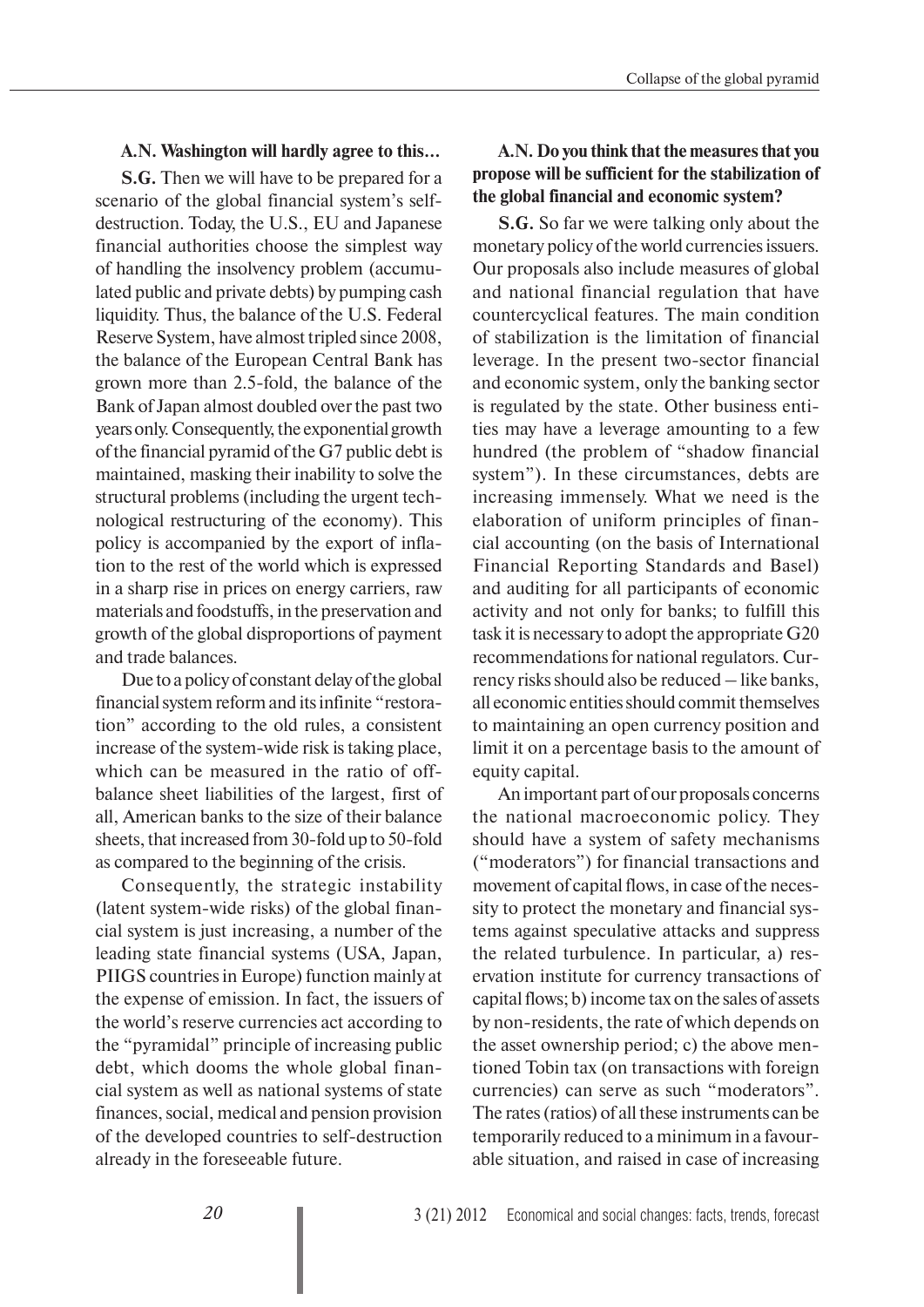#### **A.N. Washington will hardly agree to this…**

**S.G.** Then we will have to be prepared for a scenario of the global financial system's selfdestruction. Today, the U.S., EU and Japanese financial authorities choose the simplest way of handling the insolvency problem (accumulated public and private debts) by pumping cash liquidity. Thus, the balance of the U.S. Federal Reserve System, have almost tripled since 2008, the balance of the European Central Bank has grown more than 2.5-fold, the balance of the Bank of Japan almost doubled over the past two years only. Consequently, the exponential growth of the financial pyramid of the G7 public debt is maintained, masking their inability to solve the structural problems (including the urgent technological restructuring of the economy). This policy is accompanied by the export of inflation to the rest of the world which is expressed in a sharp rise in prices on energy carriers, raw materials and foodstuffs, in the preservation and growth of the global disproportions of payment and trade balances.

Due to a policy of constant delay of the global financial system reform and its infinite "restoration" according to the old rules, a consistent increase of the system-wide risk is taking place, which can be measured in the ratio of offbalance sheet liabilities of the largest, first of all, American banks to the size of their balance sheets, that increased from 30-fold up to 50-fold as compared to the beginning of the crisis.

Consequently, the strategic instability (latent system-wide risks) of the global financial system is just increasing, a number of the leading state financial systems (USA, Japan, PIIGS countries in Europe) function mainly at the expense of emission. In fact, the issuers of the world's reserve currencies act according to the "pyramidal" principle of increasing public debt, which dooms the whole global financial system as well as national systems of state finances, social, medical and pension provision of the developed countries to self-destruction already in the foreseeable future.

### **A.N. Do you think that the measures that you propose will be sufficient for the stabilization of the global financial and economic system?**

**S.G.** So far we were talking only about the monetary policy of the world currencies issuers. Our proposals also include measures of global and national financial regulation that have countercyclical features. The main condition of stabilization is the limitation of financial leverage. In the present two-sector financial and economic system, only the banking sector is regulated by the state. Other business entities may have a leverage amounting to a few hundred (the problem of "shadow financial system"). In these circumstances, debts are increasing immensely. What we need is the elaboration of uniform principles of financial accounting (on the basis of International Financial Reporting Standards and Basel) and auditing for all participants of economic activity and not only for banks; to fulfill this task it is necessary to adopt the appropriate G20 recommendations for national regulators. Currency risks should also be reduced – like banks, all economic entities should commit themselves to maintaining an open currency position and limit it on a percentage basis to the amount of equity capital.

An important part of our proposals concerns the national macroeconomic policy. They should have a system of safety mechanisms ("moderators") for financial transactions and movement of capital flows, in case of the necessity to protect the monetary and financial systems against speculative attacks and suppress the related turbulence. In particular, a) reservation institute for currency transactions of capital flows; b) income tax on the sales of assets by non-residents, the rate of which depends on the asset ownership period; c) the above mentioned Tobin tax (on transactions with foreign currencies) can serve as such "moderators". The rates (ratios) of all these instruments can be temporarily reduced to a minimum in a favourable situation, and raised in case of increasing